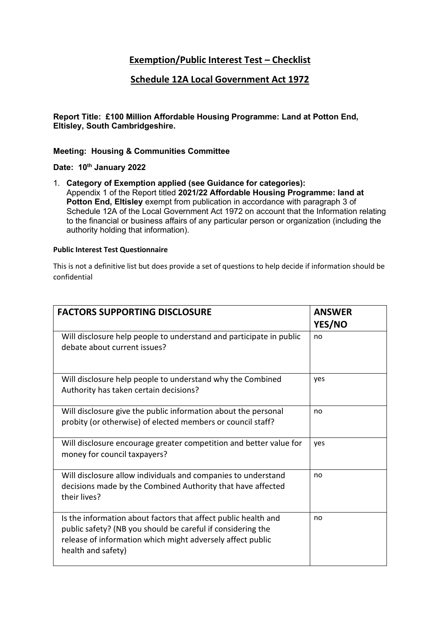## **Exemption/Public Interest Test – Checklist**

## **Schedule 12A Local Government Act 1972**

**Report Title: £100 Million Affordable Housing Programme: Land at Potton End, Eltisley, South Cambridgeshire.** 

**Meeting: Housing & Communities Committee** 

**Date: 10th January 2022** 

1. **Category of Exemption applied (see Guidance for categories):** Appendix 1 of the Report titled **2021/22 Affordable Housing Programme: land at Potton End, Eltisley** exempt from publication in accordance with paragraph 3 of Schedule 12A of the Local Government Act 1972 on account that the Information relating to the financial or business affairs of any particular person or organization (including the authority holding that information).

## **Public Interest Test Questionnaire**

This is not a definitive list but does provide a set of questions to help decide if information should be confidential

| <b>FACTORS SUPPORTING DISCLOSURE</b>                                                                                                                                                                              | <b>ANSWER</b><br>YES/NO |
|-------------------------------------------------------------------------------------------------------------------------------------------------------------------------------------------------------------------|-------------------------|
| Will disclosure help people to understand and participate in public<br>debate about current issues?                                                                                                               | no                      |
| Will disclosure help people to understand why the Combined<br>Authority has taken certain decisions?                                                                                                              | yes                     |
| Will disclosure give the public information about the personal<br>probity (or otherwise) of elected members or council staff?                                                                                     | no                      |
| Will disclosure encourage greater competition and better value for<br>money for council taxpayers?                                                                                                                | yes                     |
| Will disclosure allow individuals and companies to understand<br>decisions made by the Combined Authority that have affected<br>their lives?                                                                      | no                      |
| Is the information about factors that affect public health and<br>public safety? (NB you should be careful if considering the<br>release of information which might adversely affect public<br>health and safety) | no                      |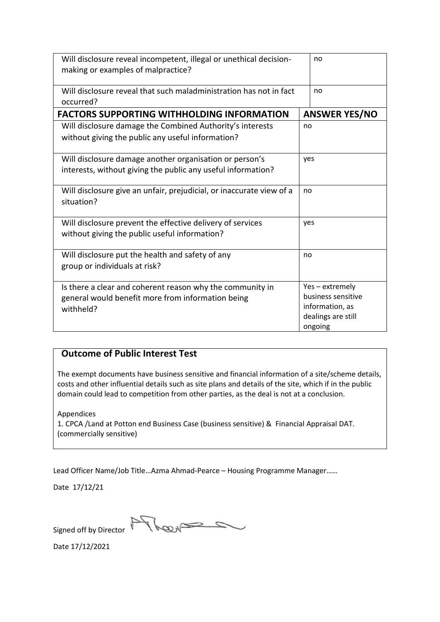| Will disclosure reveal incompetent, illegal or unethical decision-<br>making or examples of malpractice?                    |     | no                                                                                        |  |
|-----------------------------------------------------------------------------------------------------------------------------|-----|-------------------------------------------------------------------------------------------|--|
| Will disclosure reveal that such maladministration has not in fact<br>occurred?                                             |     | no                                                                                        |  |
| <b>FACTORS SUPPORTING WITHHOLDING INFORMATION</b>                                                                           |     | <b>ANSWER YES/NO</b>                                                                      |  |
| Will disclosure damage the Combined Authority's interests<br>without giving the public any useful information?              | no  |                                                                                           |  |
| Will disclosure damage another organisation or person's<br>interests, without giving the public any useful information?     |     | yes                                                                                       |  |
| Will disclosure give an unfair, prejudicial, or inaccurate view of a<br>situation?                                          |     | no                                                                                        |  |
| Will disclosure prevent the effective delivery of services<br>without giving the public useful information?                 | yes |                                                                                           |  |
| Will disclosure put the health and safety of any<br>group or individuals at risk?                                           |     | no                                                                                        |  |
| Is there a clear and coherent reason why the community in<br>general would benefit more from information being<br>withheld? |     | Yes - extremely<br>business sensitive<br>information, as<br>dealings are still<br>ongoing |  |

## **Outcome of Public Interest Test**

The exempt documents have business sensitive and financial information of a site/scheme details, costs and other influential details such as site plans and details of the site, which if in the public domain could lead to competition from other parties, as the deal is not at a conclusion.

Appendices

1. CPCA /Land at Potton end Business Case (business sensitive) & Financial Appraisal DAT. (commercially sensitive)

Lead Officer Name/Job Title…Azma Ahmad-Pearce – Housing Programme Manager……

Date 17/12/21

Signed off by Director Angel

Date 17/12/2021